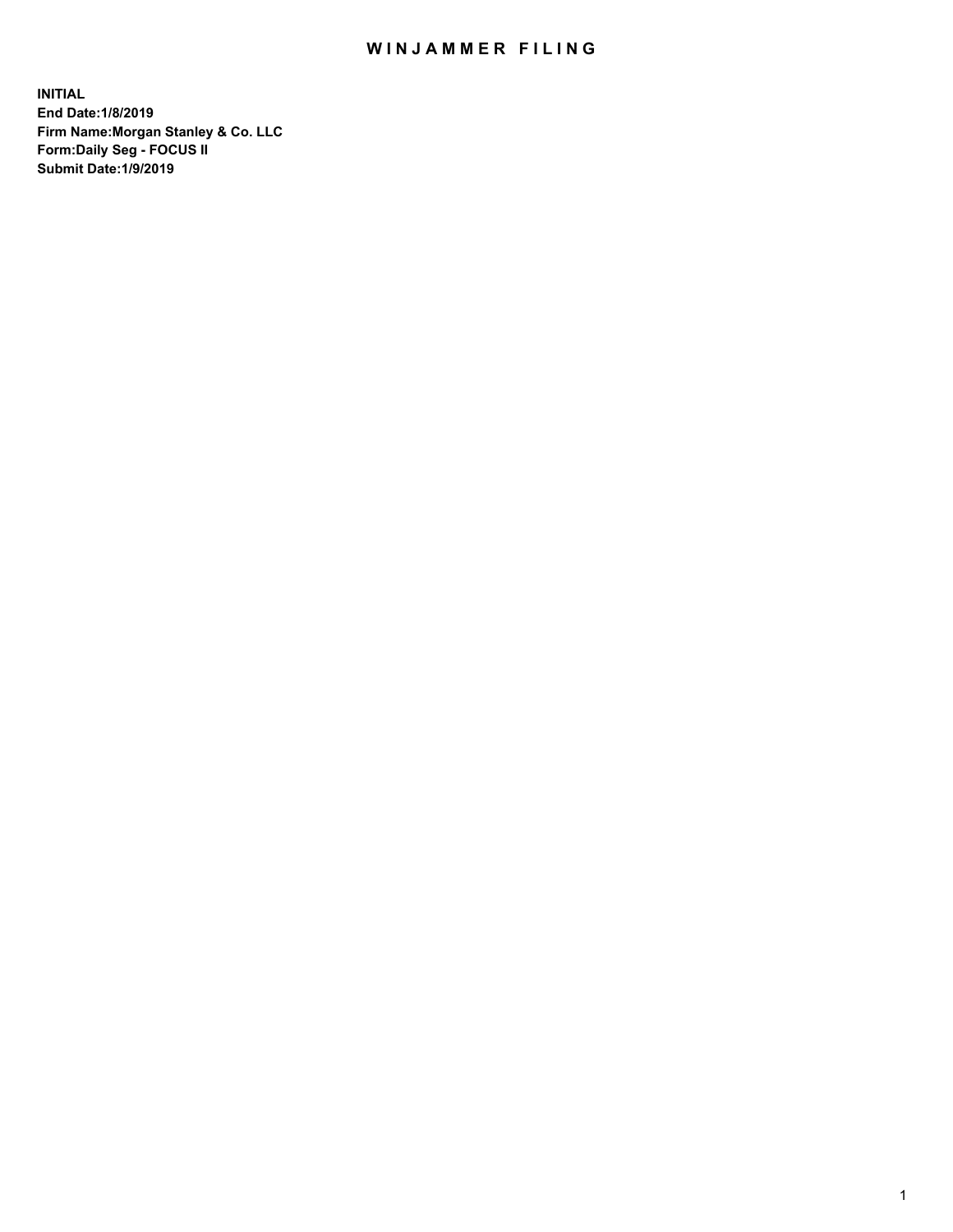## WIN JAMMER FILING

**INITIAL End Date:1/8/2019 Firm Name:Morgan Stanley & Co. LLC Form:Daily Seg - FOCUS II Submit Date:1/9/2019**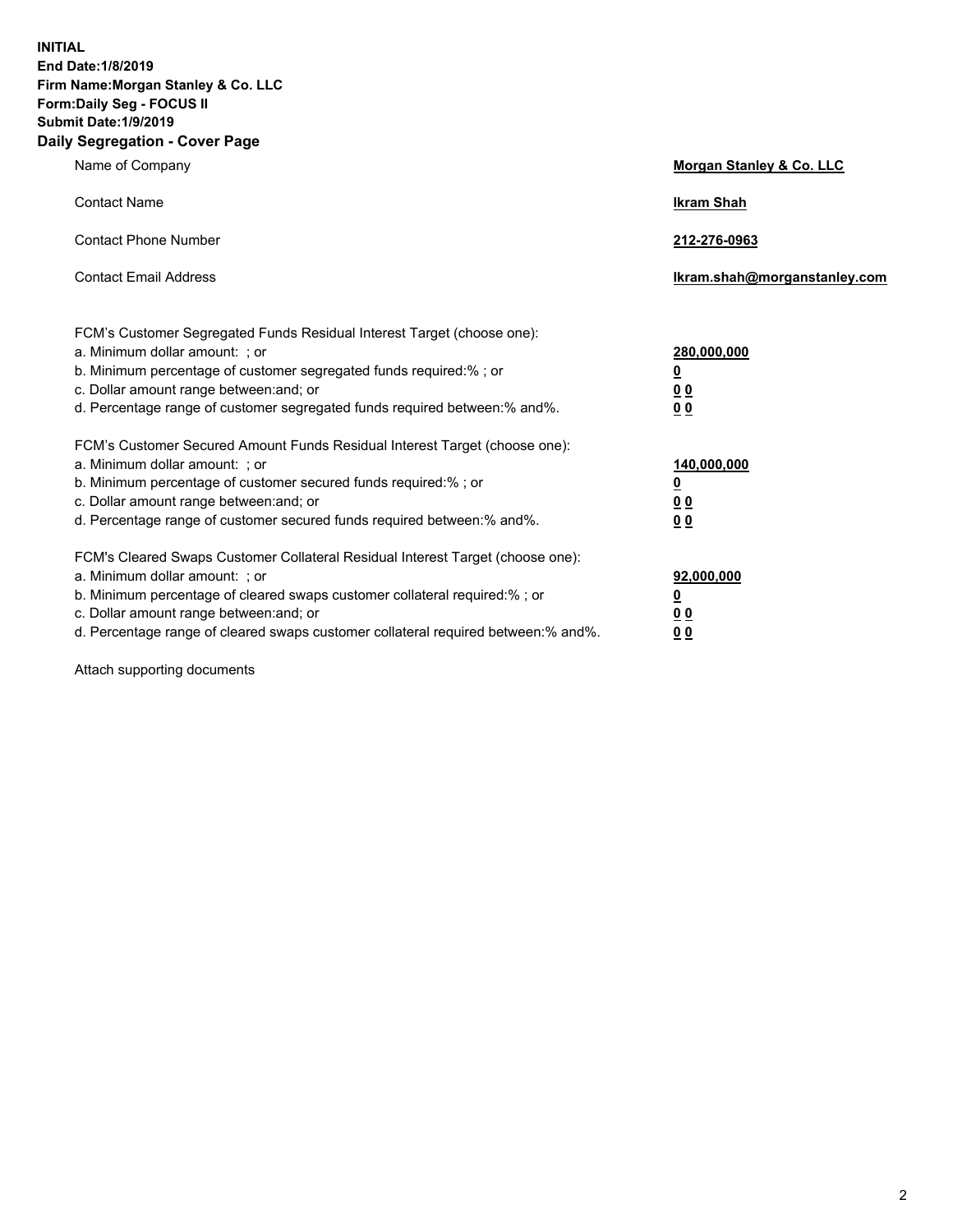**INITIAL End Date:1/8/2019 Firm Name:Morgan Stanley & Co. LLC Form:Daily Seg - FOCUS II Submit Date:1/9/2019 Daily Segregation - Cover Page**

| Name of Company                                                                                                                                                                                                                                                                                                                | Morgan Stanley & Co. LLC                                    |
|--------------------------------------------------------------------------------------------------------------------------------------------------------------------------------------------------------------------------------------------------------------------------------------------------------------------------------|-------------------------------------------------------------|
| <b>Contact Name</b>                                                                                                                                                                                                                                                                                                            | <b>Ikram Shah</b>                                           |
| <b>Contact Phone Number</b>                                                                                                                                                                                                                                                                                                    | 212-276-0963                                                |
| <b>Contact Email Address</b>                                                                                                                                                                                                                                                                                                   | Ikram.shah@morganstanley.com                                |
| FCM's Customer Segregated Funds Residual Interest Target (choose one):<br>a. Minimum dollar amount: ; or<br>b. Minimum percentage of customer segregated funds required:% ; or<br>c. Dollar amount range between: and; or<br>d. Percentage range of customer segregated funds required between:% and%.                         | 280,000,000<br><u>0</u><br>00<br>0 <sub>0</sub>             |
| FCM's Customer Secured Amount Funds Residual Interest Target (choose one):<br>a. Minimum dollar amount: ; or<br>b. Minimum percentage of customer secured funds required:%; or<br>c. Dollar amount range between: and; or<br>d. Percentage range of customer secured funds required between:% and%.                            | 140,000,000<br><u>0</u><br>0 <sub>0</sub><br>0 <sub>0</sub> |
| FCM's Cleared Swaps Customer Collateral Residual Interest Target (choose one):<br>a. Minimum dollar amount: ; or<br>b. Minimum percentage of cleared swaps customer collateral required:% ; or<br>c. Dollar amount range between: and; or<br>d. Percentage range of cleared swaps customer collateral required between:% and%. | 92,000,000<br><u>0</u><br>0 Q<br>0 <sub>0</sub>             |

Attach supporting documents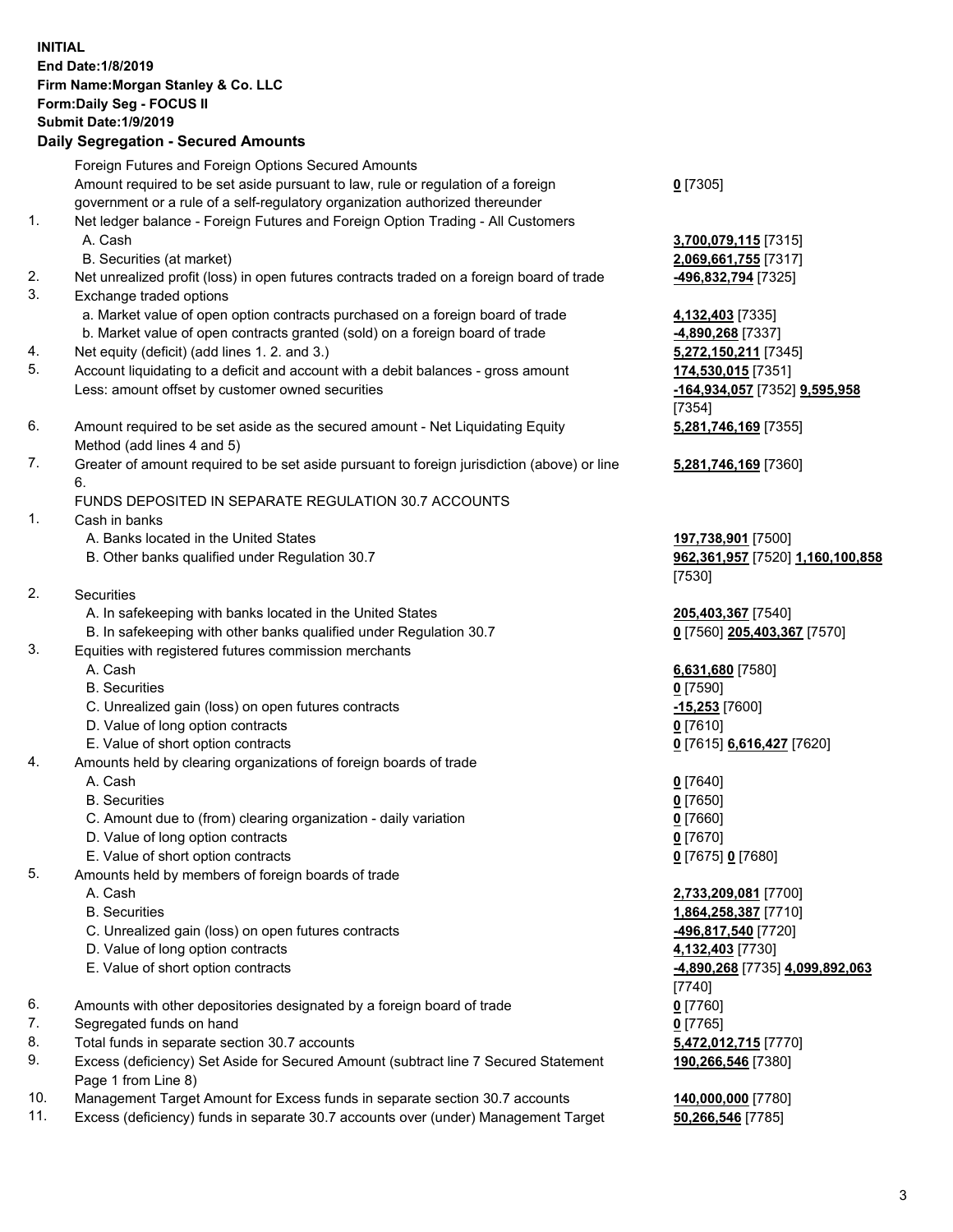|          | <b>INITIAL</b><br>End Date: 1/8/2019<br>Firm Name: Morgan Stanley & Co. LLC<br>Form: Daily Seg - FOCUS II<br><b>Submit Date: 1/9/2019</b><br><b>Daily Segregation - Secured Amounts</b> |                                                                  |
|----------|-----------------------------------------------------------------------------------------------------------------------------------------------------------------------------------------|------------------------------------------------------------------|
|          | Foreign Futures and Foreign Options Secured Amounts                                                                                                                                     |                                                                  |
|          | Amount required to be set aside pursuant to law, rule or regulation of a foreign<br>government or a rule of a self-regulatory organization authorized thereunder                        | $0$ [7305]                                                       |
| 1.       | Net ledger balance - Foreign Futures and Foreign Option Trading - All Customers                                                                                                         |                                                                  |
|          | A. Cash                                                                                                                                                                                 | 3,700,079,115 [7315]                                             |
|          | B. Securities (at market)                                                                                                                                                               | 2,069,661,755 [7317]                                             |
| 2.       | Net unrealized profit (loss) in open futures contracts traded on a foreign board of trade                                                                                               | -496,832,794 [7325]                                              |
| 3.       | Exchange traded options                                                                                                                                                                 |                                                                  |
|          | a. Market value of open option contracts purchased on a foreign board of trade<br>b. Market value of open contracts granted (sold) on a foreign board of trade                          | 4,132,403 [7335]<br>4,890,268 [7337]                             |
| 4.       | Net equity (deficit) (add lines 1.2. and 3.)                                                                                                                                            | 5,272,150,211 [7345]                                             |
| 5.       | Account liquidating to a deficit and account with a debit balances - gross amount                                                                                                       | 174,530,015 [7351]                                               |
|          | Less: amount offset by customer owned securities                                                                                                                                        | -164,934,057 [7352] 9,595,958<br>[7354]                          |
| 6.       | Amount required to be set aside as the secured amount - Net Liquidating Equity<br>Method (add lines 4 and 5)                                                                            | 5,281,746,169 [7355]                                             |
| 7.       | Greater of amount required to be set aside pursuant to foreign jurisdiction (above) or line<br>6.                                                                                       | 5,281,746,169 [7360]                                             |
|          | FUNDS DEPOSITED IN SEPARATE REGULATION 30.7 ACCOUNTS                                                                                                                                    |                                                                  |
| 1.       | Cash in banks                                                                                                                                                                           |                                                                  |
|          | A. Banks located in the United States<br>B. Other banks qualified under Regulation 30.7                                                                                                 | 197,738,901 [7500]<br>962,361,957 [7520] 1,160,100,858<br>[7530] |
| 2.       | Securities                                                                                                                                                                              |                                                                  |
|          | A. In safekeeping with banks located in the United States                                                                                                                               | 205,403,367 [7540]                                               |
|          | B. In safekeeping with other banks qualified under Regulation 30.7                                                                                                                      | 0 [7560] 205,403,367 [7570]                                      |
| 3.       | Equities with registered futures commission merchants                                                                                                                                   |                                                                  |
|          | A. Cash                                                                                                                                                                                 | 6,631,680 [7580]                                                 |
|          | <b>B.</b> Securities                                                                                                                                                                    | $0$ [7590]                                                       |
|          | C. Unrealized gain (loss) on open futures contracts<br>D. Value of long option contracts                                                                                                | $-15,253$ [7600]<br>$0$ [7610]                                   |
|          | E. Value of short option contracts                                                                                                                                                      | 0 [7615] 6,616,427 [7620]                                        |
| 4.       | Amounts held by clearing organizations of foreign boards of trade                                                                                                                       |                                                                  |
|          | A. Cash                                                                                                                                                                                 | $0$ [7640]                                                       |
|          | <b>B.</b> Securities                                                                                                                                                                    | $0$ [7650]                                                       |
|          | C. Amount due to (from) clearing organization - daily variation                                                                                                                         | $0$ [7660]                                                       |
|          | D. Value of long option contracts                                                                                                                                                       | $0$ [7670]                                                       |
| 5.       | E. Value of short option contracts                                                                                                                                                      | 0 [7675] 0 [7680]                                                |
|          | Amounts held by members of foreign boards of trade<br>A. Cash                                                                                                                           | 2,733,209,081 [7700]                                             |
|          | <b>B.</b> Securities                                                                                                                                                                    | 1,864,258,387 [7710]                                             |
|          | C. Unrealized gain (loss) on open futures contracts                                                                                                                                     | -496,817,540 [7720]                                              |
|          | D. Value of long option contracts                                                                                                                                                       | 4,132,403 [7730]                                                 |
|          | E. Value of short option contracts                                                                                                                                                      | -4,890,268 [7735] 4,099,892,063                                  |
|          |                                                                                                                                                                                         | [7740]                                                           |
| 6.<br>7. | Amounts with other depositories designated by a foreign board of trade                                                                                                                  | $0$ [7760]                                                       |
| 8.       | Segregated funds on hand<br>Total funds in separate section 30.7 accounts                                                                                                               | $0$ [7765]<br>5,472,012,715 [7770]                               |
| 9.       | Excess (deficiency) Set Aside for Secured Amount (subtract line 7 Secured Statement<br>Page 1 from Line 8)                                                                              | 190,266,546 [7380]                                               |
|          |                                                                                                                                                                                         |                                                                  |

- 10. Management Target Amount for Excess funds in separate section 30.7 accounts **140,000,000** [7780]
- 11. Excess (deficiency) funds in separate 30.7 accounts over (under) Management Target **50,266,546** [7785]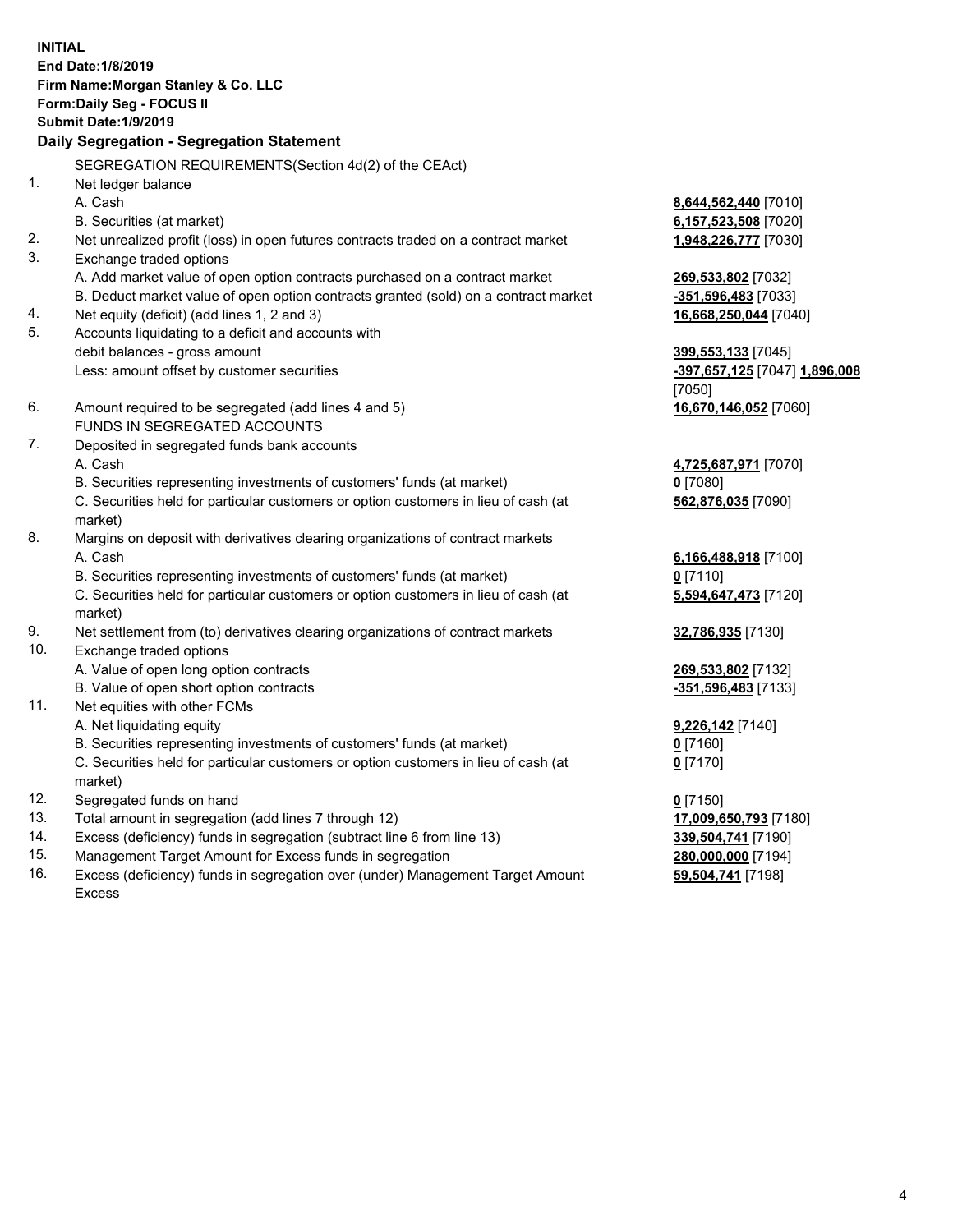**INITIAL End Date:1/8/2019 Firm Name:Morgan Stanley & Co. LLC Form:Daily Seg - FOCUS II Submit Date:1/9/2019 Daily Segregation - Segregation Statement** SEGREGATION REQUIREMENTS(Section 4d(2) of the CEAct) 1. Net ledger balance A. Cash **8,644,562,440** [7010] B. Securities (at market) **6,157,523,508** [7020] 2. Net unrealized profit (loss) in open futures contracts traded on a contract market **1,948,226,777** [7030] 3. Exchange traded options A. Add market value of open option contracts purchased on a contract market **269,533,802** [7032] B. Deduct market value of open option contracts granted (sold) on a contract market **-351,596,483** [7033] 4. Net equity (deficit) (add lines 1, 2 and 3) **16,668,250,044** [7040] 5. Accounts liquidating to a deficit and accounts with debit balances - gross amount **399,553,133** [7045] Less: amount offset by customer securities **-397,657,125** [7047] **1,896,008** [7050] 6. Amount required to be segregated (add lines 4 and 5) **16,670,146,052** [7060] FUNDS IN SEGREGATED ACCOUNTS 7. Deposited in segregated funds bank accounts A. Cash **4,725,687,971** [7070] B. Securities representing investments of customers' funds (at market) **0** [7080] C. Securities held for particular customers or option customers in lieu of cash (at market) **562,876,035** [7090] 8. Margins on deposit with derivatives clearing organizations of contract markets A. Cash **6,166,488,918** [7100] B. Securities representing investments of customers' funds (at market) **0** [7110] C. Securities held for particular customers or option customers in lieu of cash (at market) **5,594,647,473** [7120] 9. Net settlement from (to) derivatives clearing organizations of contract markets **32,786,935** [7130] 10. Exchange traded options A. Value of open long option contracts **269,533,802** [7132] B. Value of open short option contracts **-351,596,483** [7133] 11. Net equities with other FCMs A. Net liquidating equity **9,226,142** [7140] B. Securities representing investments of customers' funds (at market) **0** [7160] C. Securities held for particular customers or option customers in lieu of cash (at market) **0** [7170] 12. Segregated funds on hand **0** [7150] 13. Total amount in segregation (add lines 7 through 12) **17,009,650,793** [7180] 14. Excess (deficiency) funds in segregation (subtract line 6 from line 13) **339,504,741** [7190]

- 15. Management Target Amount for Excess funds in segregation **280,000,000** [7194]
- 16. Excess (deficiency) funds in segregation over (under) Management Target Amount Excess

**59,504,741** [7198]